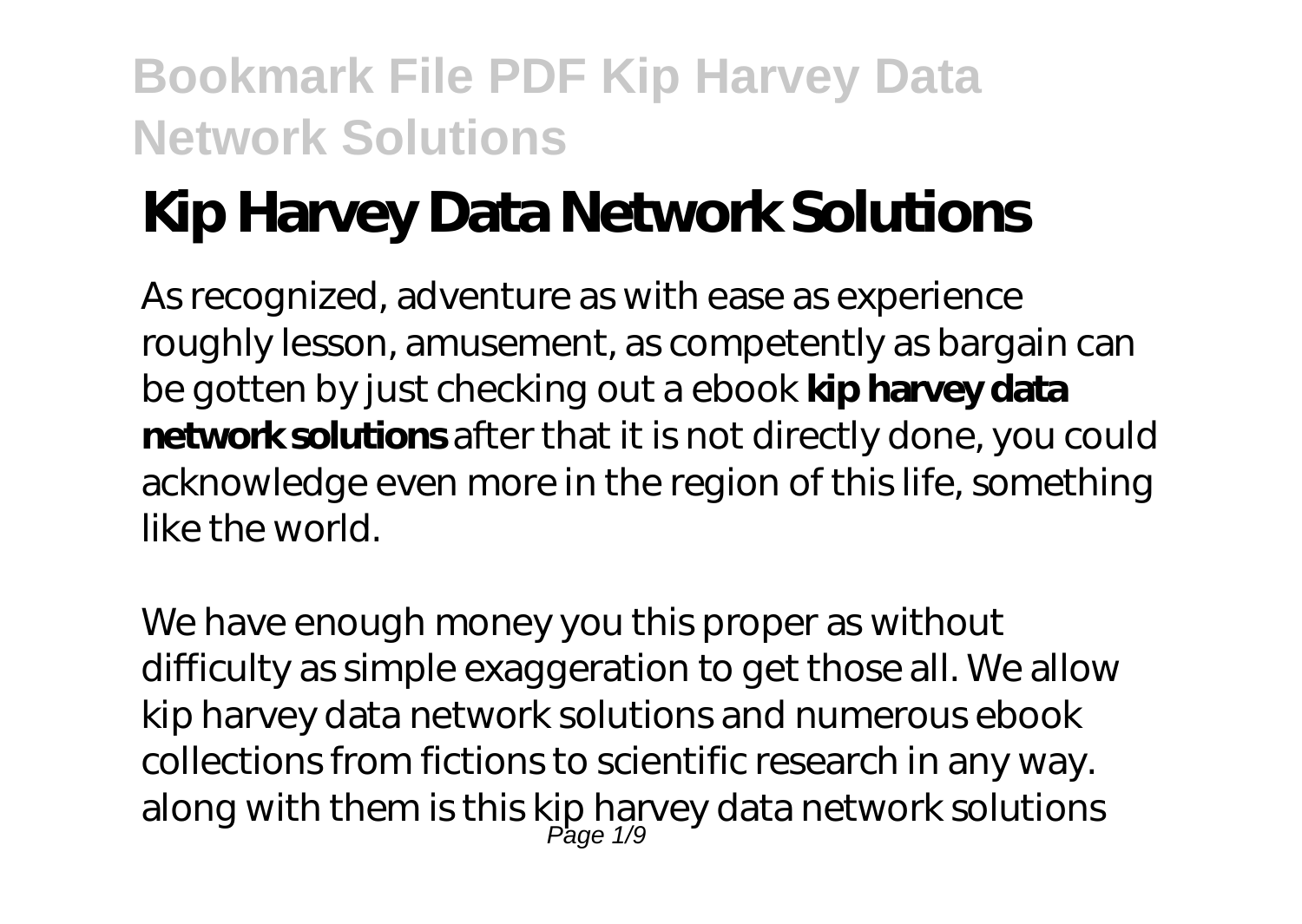# **Kip Harvey Data Network Solutions**

As recognized, adventure as with ease as experience roughly lesson, amusement, as competently as bargain can be gotten by just checking out a ebook **kip harvey data network solutions** after that it is not directly done, you could acknowledge even more in the region of this life, something like the world.

We have enough money you this proper as without difficulty as simple exaggeration to get those all. We allow kip harvey data network solutions and numerous ebook collections from fictions to scientific research in any way. along with them is this kip harvey data network solutions<br> $\frac{Page\ 1/9}}{Page\ 1/9}$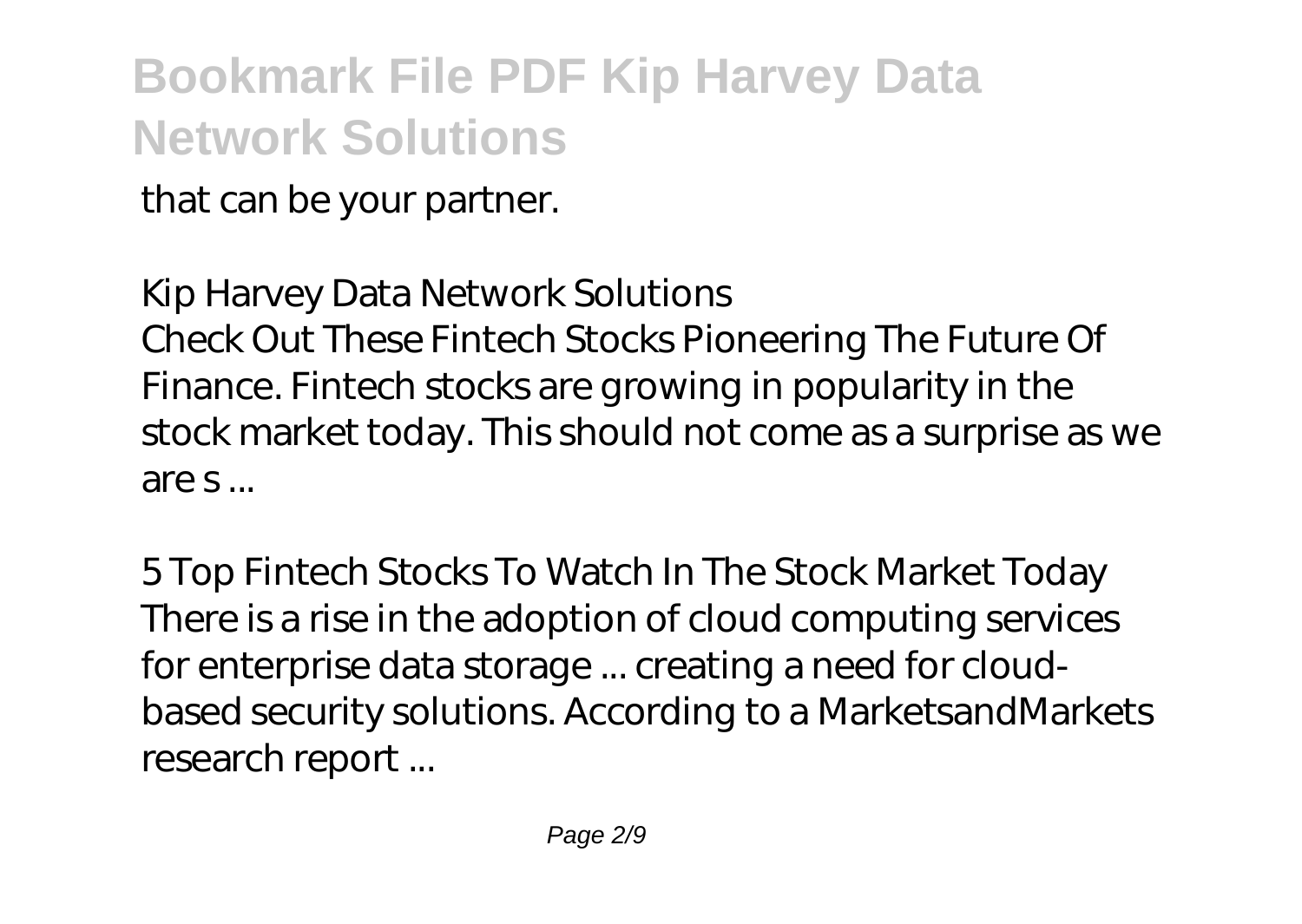that can be your partner.

#### *Kip Harvey Data Network Solutions*

Check Out These Fintech Stocks Pioneering The Future Of Finance. Fintech stocks are growing in popularity in the stock market today. This should not come as a surprise as we are s ...

*5 Top Fintech Stocks To Watch In The Stock Market Today* There is a rise in the adoption of cloud computing services for enterprise data storage ... creating a need for cloudbased security solutions. According to a MarketsandMarkets research report ...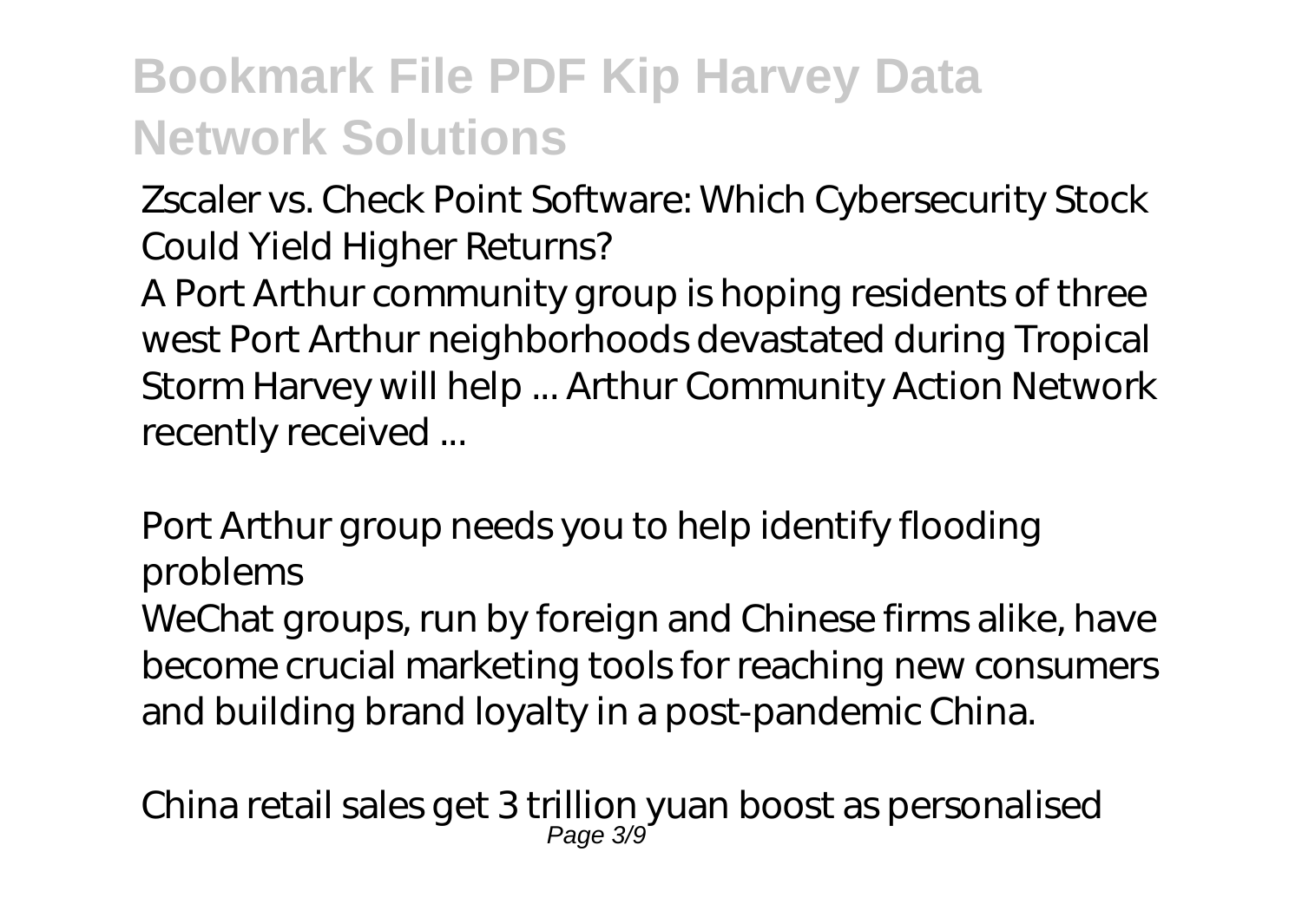#### *Zscaler vs. Check Point Software: Which Cybersecurity Stock Could Yield Higher Returns?*

A Port Arthur community group is hoping residents of three west Port Arthur neighborhoods devastated during Tropical Storm Harvey will help ... Arthur Community Action Network recently received ...

#### *Port Arthur group needs you to help identify flooding problems*

WeChat groups, run by foreign and Chinese firms alike, have become crucial marketing tools for reaching new consumers and building brand loyalty in a post-pandemic China.

*China retail sales get 3 trillion yuan boost as personalised* Page 3/9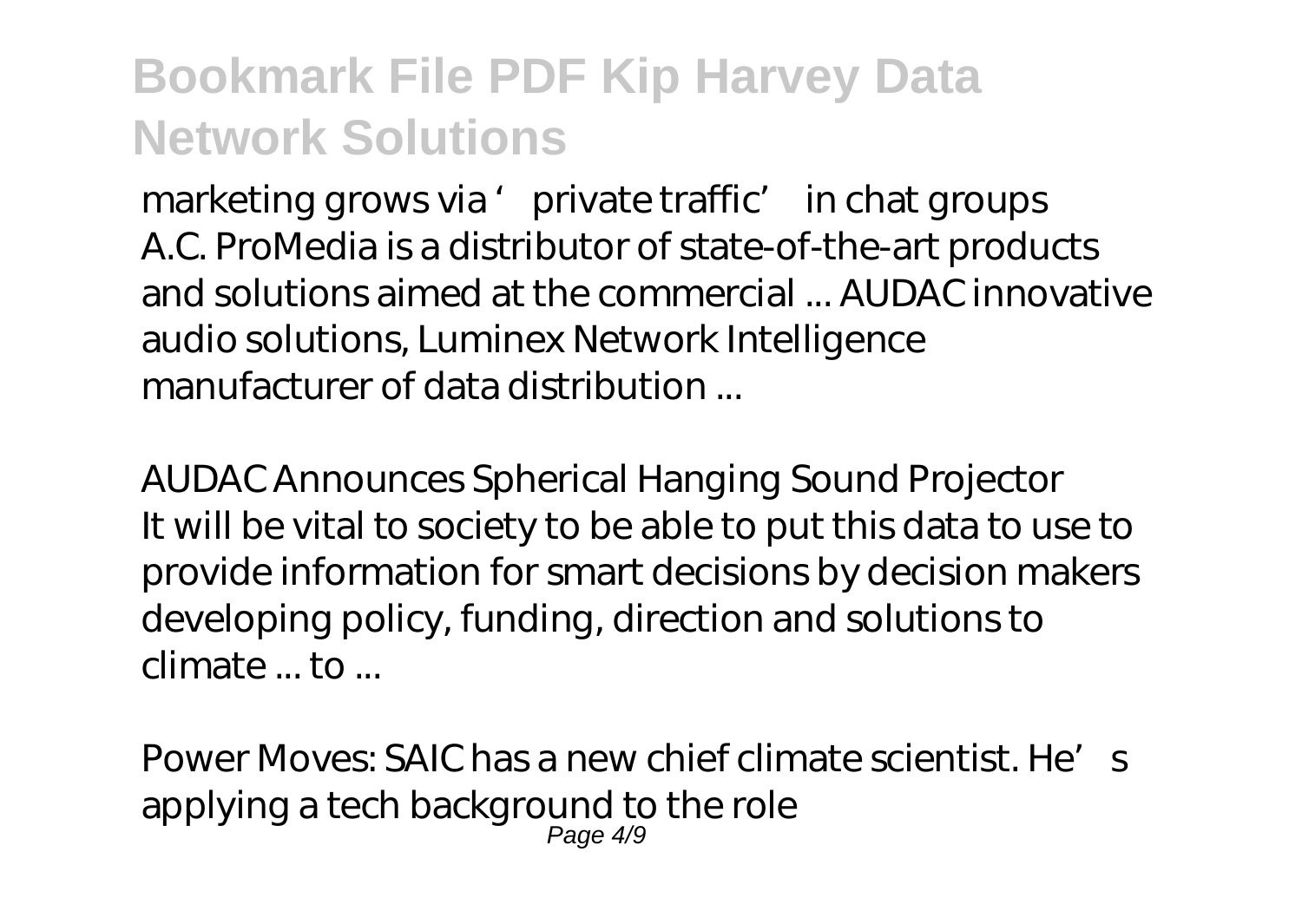*marketing grows via 'private traffic' in chat groups* A.C. ProMedia is a distributor of state-of-the-art products and solutions aimed at the commercial ... AUDAC innovative audio solutions, Luminex Network Intelligence manufacturer of data distribution ...

*AUDAC Announces Spherical Hanging Sound Projector* It will be vital to society to be able to put this data to use to provide information for smart decisions by decision makers developing policy, funding, direction and solutions to climate ... to ...

*Power Moves: SAIC has a new chief climate scientist. He's applying a tech background to the role* Page 4/9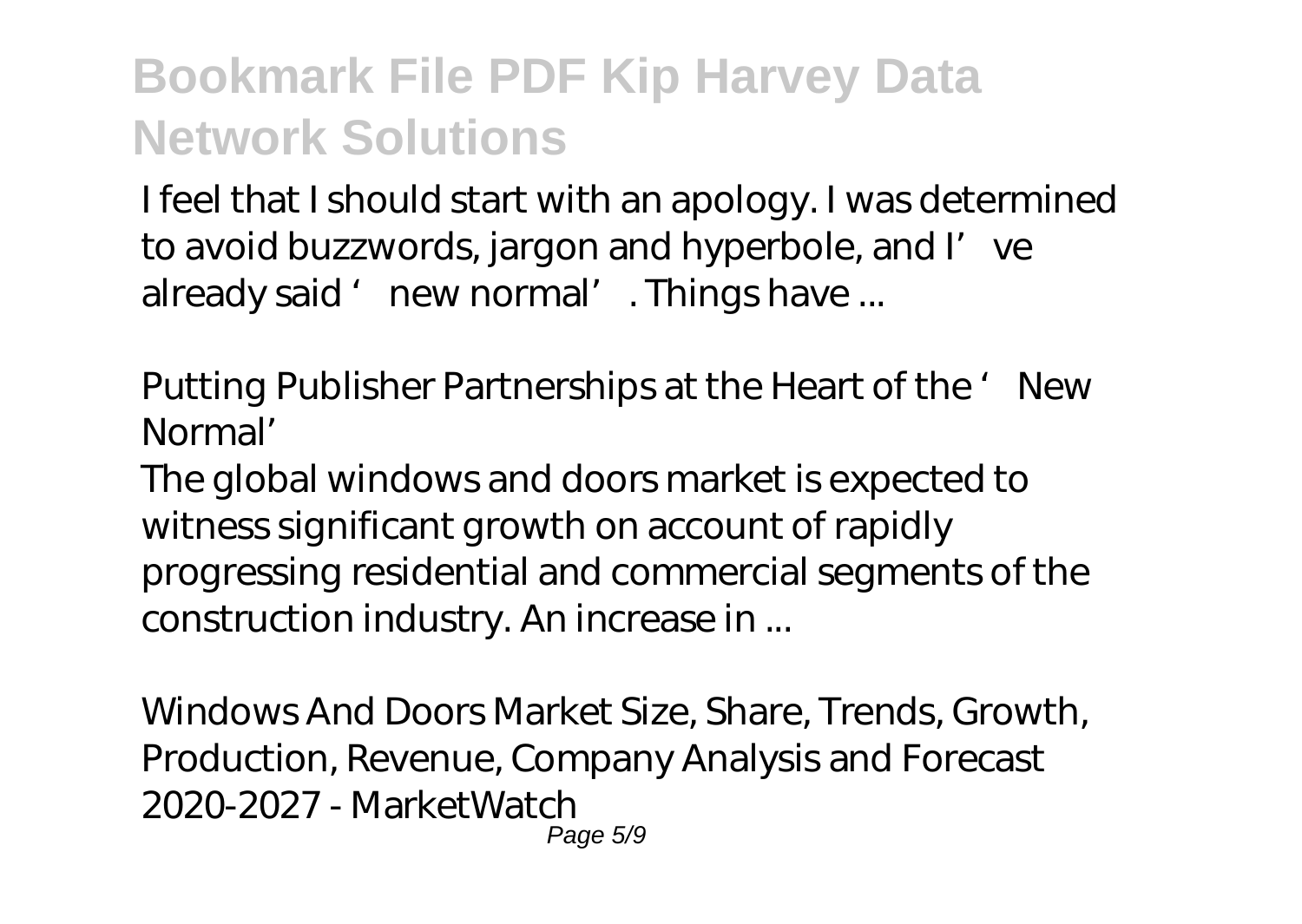I feel that I should start with an apology. I was determined to avoid buzzwords, jargon and hyperbole, and I' ve already said 'new normal'. Things have ...

*Putting Publisher Partnerships at the Heart of the 'New Normal'*

The global windows and doors market is expected to witness significant growth on account of rapidly progressing residential and commercial segments of the construction industry. An increase in ...

*Windows And Doors Market Size, Share, Trends, Growth, Production, Revenue, Company Analysis and Forecast 2020-2027 - MarketWatch* Page 5/9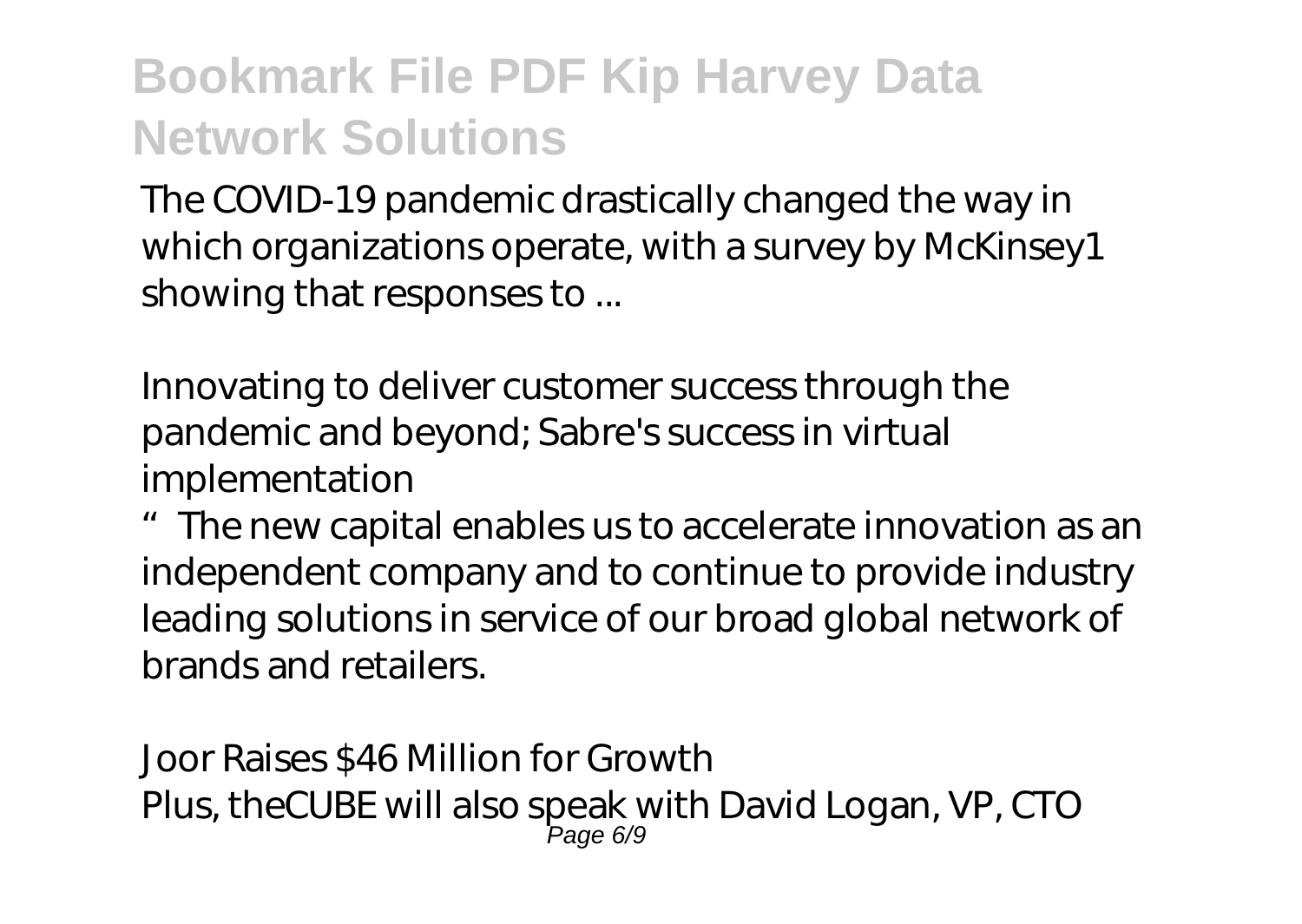The COVID-19 pandemic drastically changed the way in which organizations operate, with a survey by McKinsey1 showing that responses to ...

*Innovating to deliver customer success through the pandemic and beyond; Sabre's success in virtual implementation*

"The new capital enables us to accelerate innovation as an independent company and to continue to provide industry leading solutions in service of our broad global network of brands and retailers.

*Joor Raises \$46 Million for Growth* Plus, theCUBE will also speak with David Logan, VP, CTO Page 6/9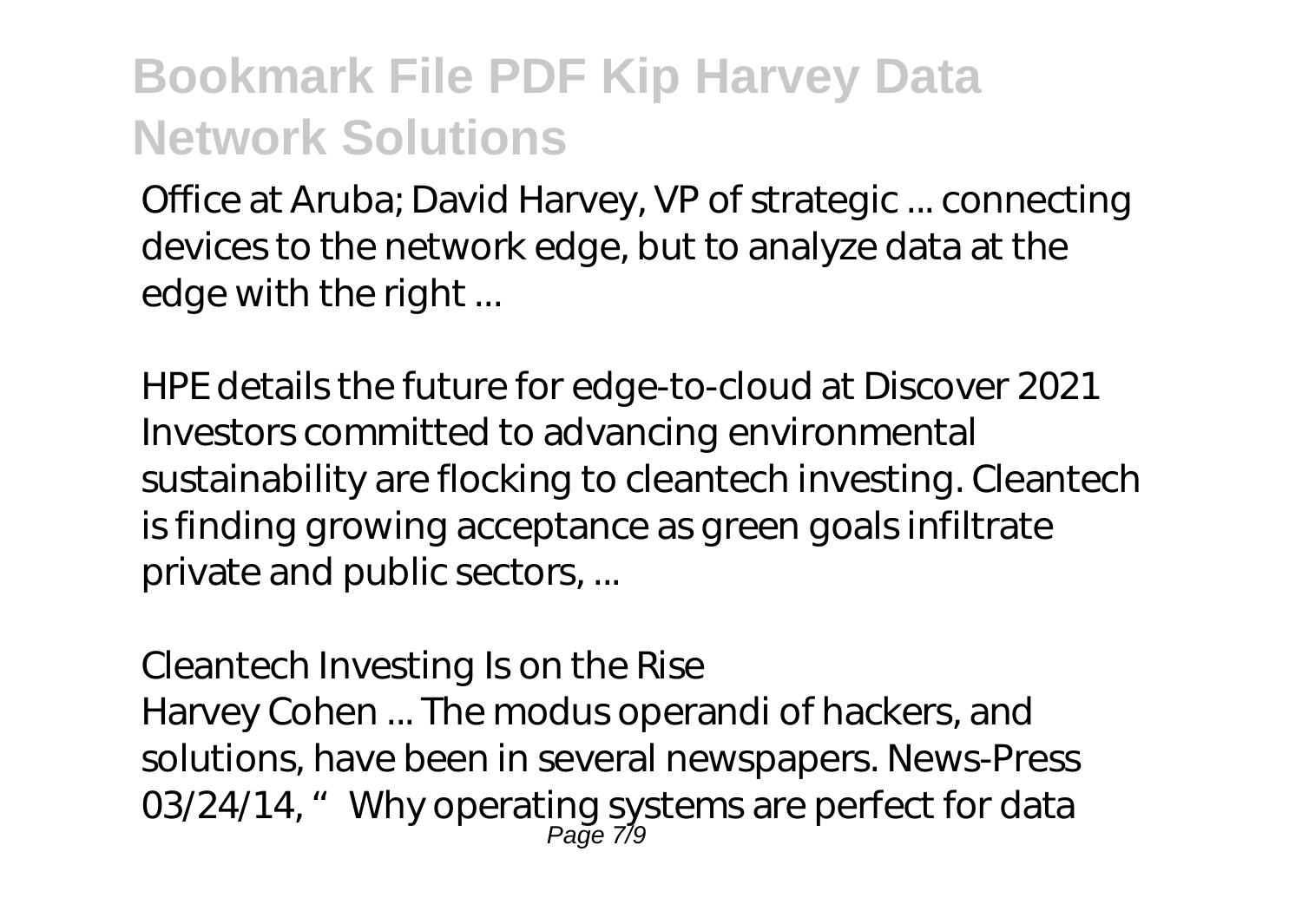Office at Aruba; David Harvey, VP of strategic ... connecting devices to the network edge, but to analyze data at the edge with the right ...

*HPE details the future for edge-to-cloud at Discover 2021* Investors committed to advancing environmental sustainability are flocking to cleantech investing. Cleantech is finding growing acceptance as green goals infiltrate private and public sectors, ...

#### *Cleantech Investing Is on the Rise*

Harvey Cohen ... The modus operandi of hackers, and solutions, have been in several newspapers. News-Press 03/24/14, "Why operating systems are perfect for data Page 7/9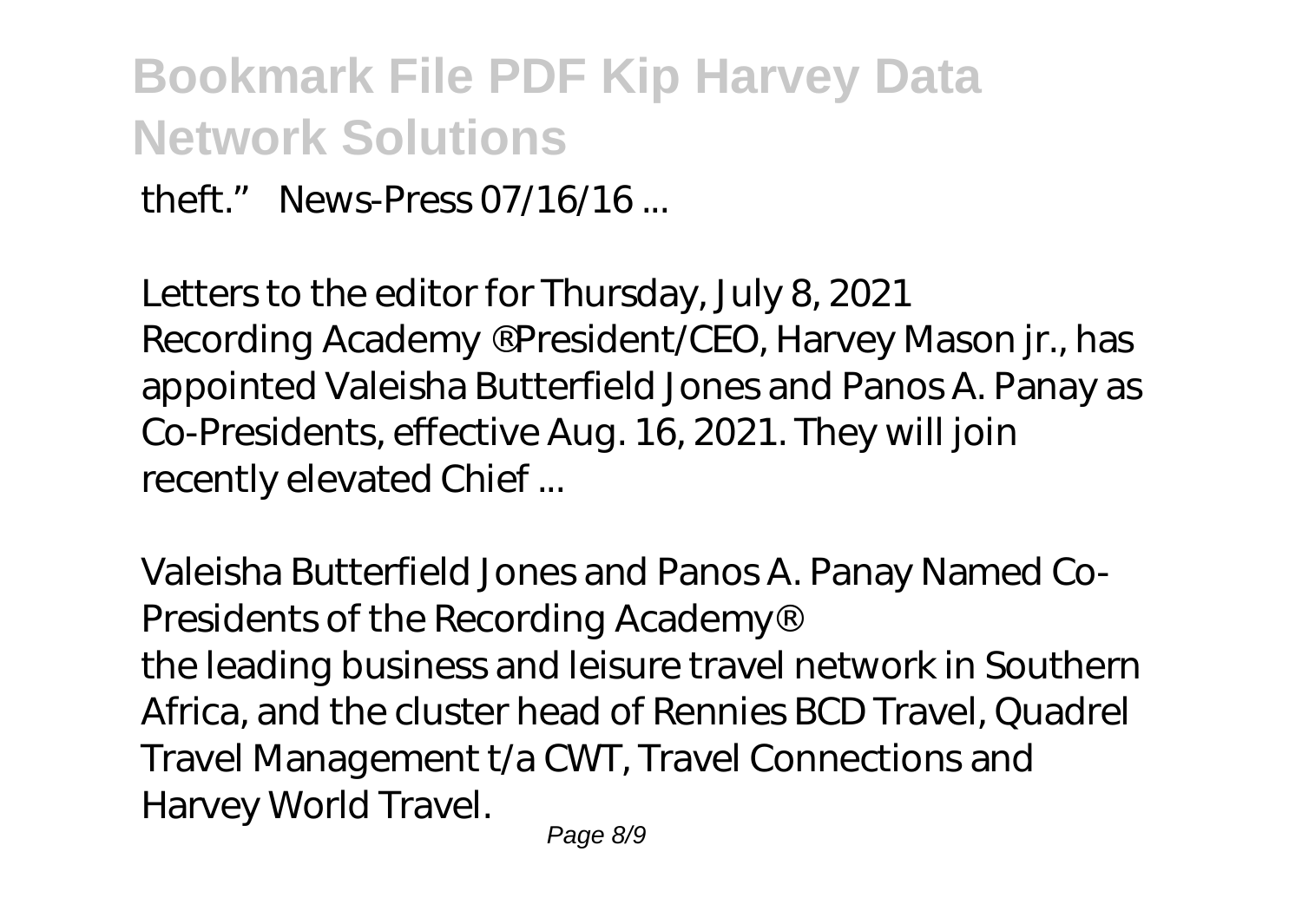theft." News-Press  $07/16/16$ 

*Letters to the editor for Thursday, July 8, 2021* Recording Academy ® President/CEO, Harvey Mason jr., has appointed Valeisha Butterfield Jones and Panos A. Panay as Co-Presidents, effective Aug. 16, 2021. They will join recently elevated Chief ...

*Valeisha Butterfield Jones and Panos A. Panay Named Co-Presidents of the Recording Academy®*

the leading business and leisure travel network in Southern Africa, and the cluster head of Rennies BCD Travel, Quadrel Travel Management t/a CWT, Travel Connections and Harvey World Travel.